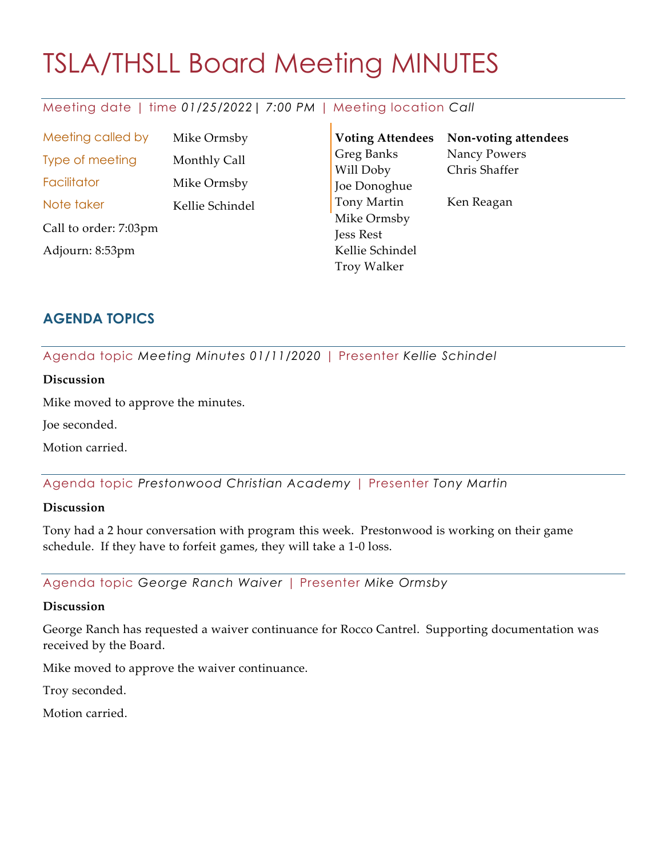# TSLA/THSLL Board Meeting MINUTES

## Meeting date | time *01/25/2022| 7:00 PM* | Meeting location *Call*

Meeting called by Mike Ormsby Type of meeting Monthly Call Facilitator Mike Ormsby Note taker Kellie Schindel Call to order: 7:03pm Adjourn: 8:53pm

**Voting Attendees** Greg Banks Will Doby Joe Donoghue Tony Martin Mike Ormsby Jess Rest Kellie Schindel Troy Walker **Non-voting attendees** Nancy Powers Chris Shaffer Ken Reagan

## **AGENDA TOPICS**

Agenda topic *Meeting Minutes 01/11/2020* | Presenter *Kellie Schindel*

## **Discussion**

Mike moved to approve the minutes.

Joe seconded.

Motion carried.

Agenda topic *Prestonwood Christian Academy* | Presenter *Tony Martin*

## **Discussion**

Tony had a 2 hour conversation with program this week. Prestonwood is working on their game schedule. If they have to forfeit games, they will take a 1-0 loss.

Agenda topic *George Ranch Waiver* | Presenter *Mike Ormsby*

## **Discussion**

George Ranch has requested a waiver continuance for Rocco Cantrel. Supporting documentation was received by the Board.

Mike moved to approve the waiver continuance.

Troy seconded.

Motion carried.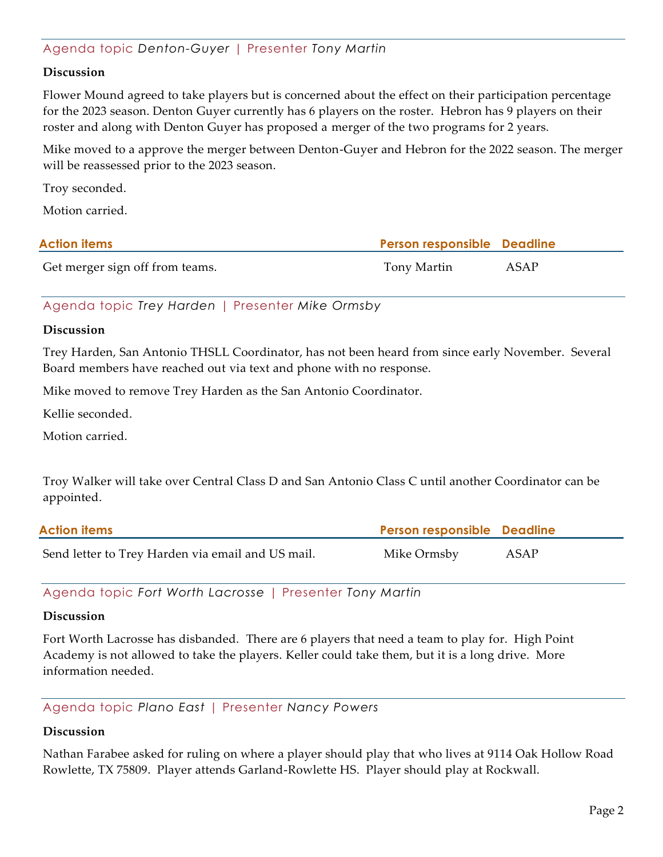## Agenda topic *Denton-Guyer* | Presenter *Tony Martin*

#### **Discussion**

Flower Mound agreed to take players but is concerned about the effect on their participation percentage for the 2023 season. Denton Guyer currently has 6 players on the roster. Hebron has 9 players on their roster and along with Denton Guyer has proposed a merger of the two programs for 2 years.

Mike moved to a approve the merger between Denton-Guyer and Hebron for the 2022 season. The merger will be reassessed prior to the 2023 season.

Troy seconded.

Motion carried.

| <b>Action items</b>             | <b>Person responsible Deadline</b> |      |
|---------------------------------|------------------------------------|------|
| Get merger sign off from teams. | Tony Martin                        | ASAP |

Agenda topic *Trey Harden* | Presenter *Mike Ormsby*

#### **Discussion**

Trey Harden, San Antonio THSLL Coordinator, has not been heard from since early November. Several Board members have reached out via text and phone with no response.

Mike moved to remove Trey Harden as the San Antonio Coordinator.

Kellie seconded.

Motion carried.

Troy Walker will take over Central Class D and San Antonio Class C until another Coordinator can be appointed.

| <b>Action items</b>                               | <b>Person responsible Deadline</b> |      |
|---------------------------------------------------|------------------------------------|------|
| Send letter to Trey Harden via email and US mail. | Mike Ormsby                        | ASAP |

Agenda topic *Fort Worth Lacrosse* | Presenter *Tony Martin*

#### **Discussion**

Fort Worth Lacrosse has disbanded. There are 6 players that need a team to play for. High Point Academy is not allowed to take the players. Keller could take them, but it is a long drive. More information needed.

Agenda topic *Plano East* | Presenter *Nancy Powers*

#### **Discussion**

Nathan Farabee asked for ruling on where a player should play that who lives at 9114 Oak Hollow Road Rowlette, TX 75809. Player attends Garland-Rowlette HS. Player should play at Rockwall.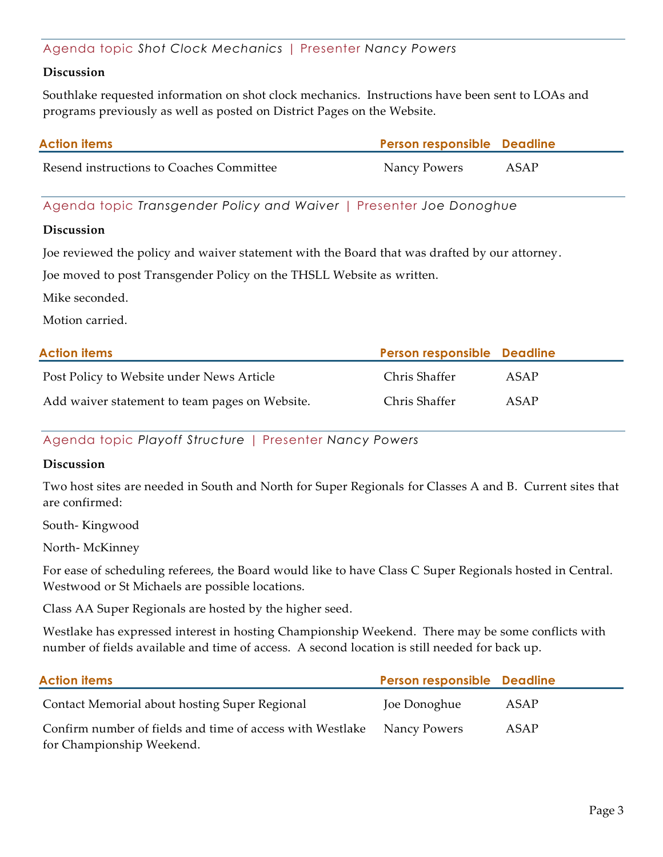## Agenda topic *Shot Clock Mechanics* | Presenter *Nancy Powers*

#### **Discussion**

Southlake requested information on shot clock mechanics. Instructions have been sent to LOAs and programs previously as well as posted on District Pages on the Website.

| <b>Action items</b>                      | <b>Person responsible Deadline</b> |      |
|------------------------------------------|------------------------------------|------|
| Resend instructions to Coaches Committee | Nancy Powers                       | ASAP |

Agenda topic *Transgender Policy and Waiver* | Presenter *Joe Donoghue*

#### **Discussion**

Joe reviewed the policy and waiver statement with the Board that was drafted by our attorney.

Joe moved to post Transgender Policy on the THSLL Website as written.

Mike seconded.

Motion carried.

| <b>Action items</b>                            | Person responsible Deadline |      |
|------------------------------------------------|-----------------------------|------|
| Post Policy to Website under News Article      | Chris Shaffer               | ASAP |
| Add waiver statement to team pages on Website. | Chris Shaffer               | ASAP |

Agenda topic *Playoff Structure* | Presenter *Nancy Powers*

#### **Discussion**

Two host sites are needed in South and North for Super Regionals for Classes A and B. Current sites that are confirmed:

South- Kingwood

North- McKinney

For ease of scheduling referees, the Board would like to have Class C Super Regionals hosted in Central. Westwood or St Michaels are possible locations.

Class AA Super Regionals are hosted by the higher seed.

Westlake has expressed interest in hosting Championship Weekend. There may be some conflicts with number of fields available and time of access. A second location is still needed for back up.

| <b>Action items</b>                                       | Person responsible Deadline |      |
|-----------------------------------------------------------|-----------------------------|------|
| Contact Memorial about hosting Super Regional             | Joe Donoghue                | ASAP |
| Confirm number of fields and time of access with Westlake | Nancy Powers                | ASAP |
| for Championship Weekend.                                 |                             |      |